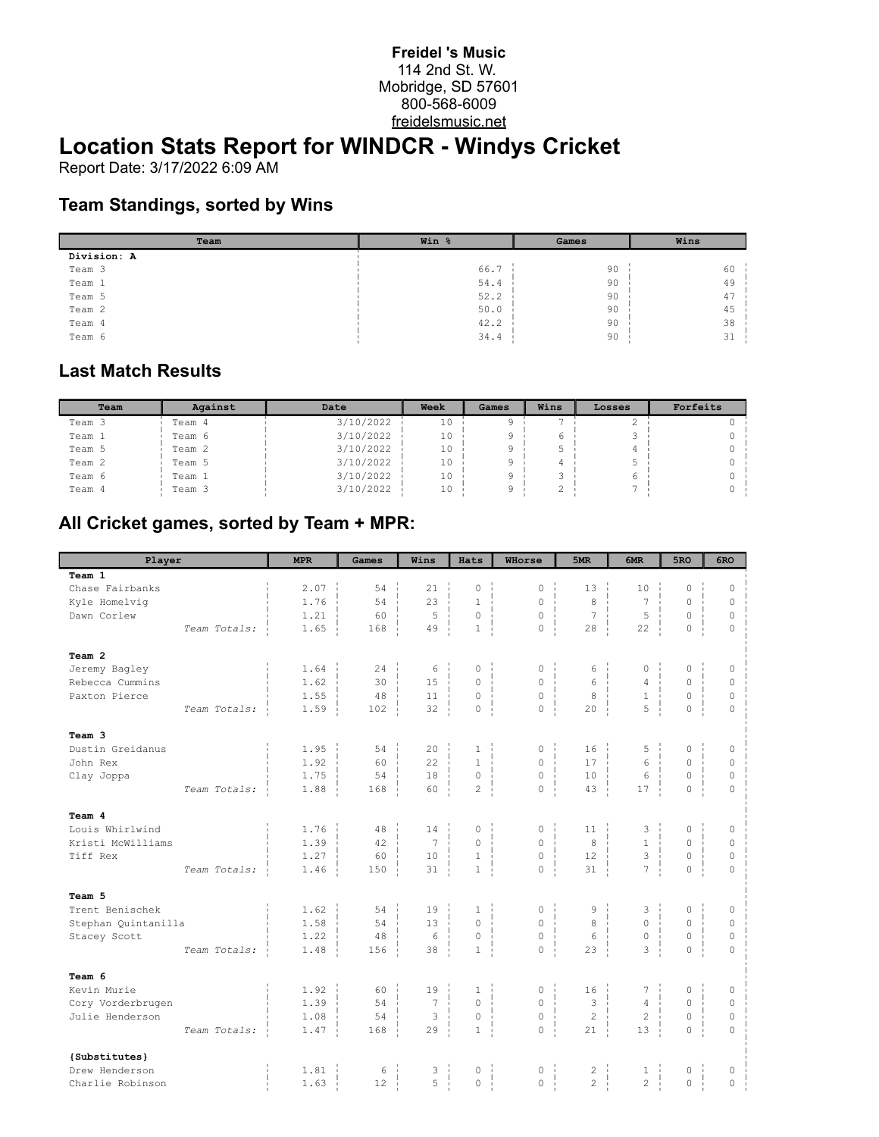#### **Freidel 's Music** 114 2nd St. W. Mobridge, SD 57601 800-568-6009 freidelsmusic.net

## **Location Stats Report for WINDCR - Windys Cricket**

Report Date: 3/17/2022 6:09 AM

#### **Team Standings, sorted by Wins**

| Team        | Win % | Games | Wins |
|-------------|-------|-------|------|
| Division: A |       |       |      |
| Team 3      | 66.7  | 90    | 60   |
| Team 1      | 54.4  | 90    | 49   |
| Team 5      | 52.2  | 90    | 47   |
| Team 2      | 50.0  | 90    | 45   |
| Team 4      | 42.2  | 90    | 38   |
| Team 6      | 34.4  | 90    | 31   |

#### **Last Match Results**

| Team   | Against | Date      | Week | Games | Wins | Losses | Forfeits |
|--------|---------|-----------|------|-------|------|--------|----------|
| Team 3 | Team 4  | 3/10/2022 | 10   |       |      |        |          |
| Team 1 | Team 6  | 3/10/2022 | 10   |       |      |        |          |
| Team 5 | Team 2  | 3/10/2022 | 10   |       |      |        |          |
| Team 2 | Team 5  | 3/10/2022 | 10   |       |      |        |          |
| Team 6 | Team 1  | 3/10/2022 | 10   |       |      |        |          |
| Team 4 | Team 3  | 3/10/2022 | 10   |       |      |        |          |

### **All Cricket games, sorted by Team + MPR:**

| Player              |              | <b>MPR</b> | Games | Wins            | Hats             | WHorse              | 5MR            | 6MR            | 5RO                 | 6RO          |
|---------------------|--------------|------------|-------|-----------------|------------------|---------------------|----------------|----------------|---------------------|--------------|
| Team 1              |              |            |       |                 |                  |                     |                |                |                     |              |
| Chase Fairbanks     |              | 2.07       | 54    | 21              | $\Omega$         | $\circ$             | 13             | 10             | $\Omega$            | $\Omega$     |
| Kyle Homelvig       |              | 1.76       | 54    | 23              | $\mathbf{1}$     | $\circ$             | 8              | 7              | $\overline{0}$      | $\circ$      |
| Dawn Corlew         |              | 1.21       | 60    | 5               | $\circ$          | $\circ$             | 7              | 5              | 0                   | $\mathbb O$  |
|                     | Team Totals: | 1.65       | 168   | 49              | $\mathbf{1}$     | $\Omega$            | 28             | 22             | $\circ$             | $\Omega$     |
| Team 2              |              |            |       |                 |                  |                     |                |                |                     |              |
| Jeremy Bagley       |              | 1.64       | 24    | 6               | $\Omega$         | $\circ$             | 6              | $\mathbb O$    | 0                   | $\circ$      |
| Rebecca Cummins     |              | 1.62       | 30    | 15              | $\Omega$         | $\circ$             | 6              | $\overline{4}$ | $\Omega$            | $\circ$      |
| Paxton Pierce       |              | 1.55       | 48    | 11              | $\circ$          | $\mathsf{O}\xspace$ | 8              | $1\,$          | $\circ$             | $\circ$      |
|                     | Team Totals: | 1.59       | 102   | 32              | $\mathbb O$      | $\circ$             | 20             | 5              | $\mathsf{O}\xspace$ | $\circ$      |
| Team 3              |              |            |       |                 |                  |                     |                |                |                     |              |
| Dustin Greidanus    |              | 1.95       | 54    | 20              | $\mathbf{1}$     | $\mathsf{O}\xspace$ | 16             | 5              | $\overline{0}$      | $\circ$      |
| John Rex            |              | 1.92       | 60    | 22              | $\mathbf{1}$     | $\circ$             | 17             | 6              | $\overline{0}$      | $\circ$      |
| Clay Joppa          |              | 1.75       | 54    | 18              | $\circ$          | $\mathbb O$         | 10             | 6              | $\circ$             | $\circ$      |
|                     | Team Totals: | 1.88       | 168   | 60              | $\mathbf{2}$     | $\circ$             | 43             | 17             | 0                   | $\mathbf{0}$ |
| Team 4              |              |            |       |                 |                  |                     |                |                |                     |              |
| Louis Whirlwind     |              | 1.76       | 48    | 14              | $\circ$          | $\mathsf{O}$        | 11             | 3              | 0                   | $\circ$      |
| Kristi McWilliams   |              | 1.39       | 42    | $7\overline{ }$ | $\circ$          | $\circ$             | 8              | $\mathbf{1}$   | $\overline{0}$      | $\mathbb O$  |
| Tiff Rex            |              | 1.27       | 60    | 10              | $\mathbf{1}$     | $\circ$             | 12             | 3              | 0                   | $\circ$      |
|                     | Team Totals: | 1.46       | 150   | 31              | $\mathbf{1}$     | $\circ$             | 31             | $\overline{7}$ | 0                   | $\Omega$     |
| Team 5              |              |            |       |                 |                  |                     |                |                |                     |              |
| Trent Benischek     |              | 1.62       | 54    | 19              | $\mathbf{1}$     | $\circ$             | 9              | 3              | 0                   | $\circ$      |
| Stephan Quintanilla |              | 1.58       | 54    | 13              | $\Omega$         | $\mathbf 0$         | 8              | $\mathbf 0$    | $\overline{0}$      | $\mathbb O$  |
| Stacey Scott        |              | 1.22       | 48    | 6               | $\circ$          | $\mathsf{O}\xspace$ | 6              | $\mathbb O$    | 0                   | $\mathbb O$  |
|                     | Team Totals: | 1.48       | 156   | 38              | $\mathbf{1}$     | $\circ$             | 23             | 3              | $\overline{0}$      | $\Omega$     |
| Team 6              |              |            |       |                 |                  |                     |                |                |                     |              |
| Kevin Murie         |              | 1.92       | 60    | 19              | $\mathbf{1}$     | $\mathsf{O}\xspace$ | 16             | 7              | 0                   | $\circ$      |
| Cory Vorderbrugen   |              | 1.39       | 54    | 7               | $\Omega$         | $\mathsf{O}\xspace$ | 3              | $\overline{4}$ | $\overline{0}$      | $\circ$      |
| Julie Henderson     |              | 1.08       | 54    | 3               | $\mathbb O$      | $\mathsf{O}\xspace$ | $\overline{2}$ | $\mathbf{2}$   | 0                   | $\mathbb O$  |
|                     | Team Totals: | 1.47       | 168   | 29              | $\mathbf{1}$     | $\mathbf 0$         | 21             | 13             | $\overline{0}$      | $\Omega$     |
| {Substitutes}       |              |            |       |                 |                  |                     |                |                |                     |              |
| Drew Henderson      |              | 1.81       | $6\,$ | 3               | $\circ$          | $\mathsf{O}\xspace$ | $\sqrt{2}$     | $\mathbf{1}$   | 0                   | $\mathbb O$  |
| Charlie Robinson    |              | 1.63       | 12    | 5               | $\circ$<br>$\pm$ | $\mathsf{O}$        | $\overline{c}$ | $\overline{c}$ | $\mathsf{O}\xspace$ | $\mathbb O$  |
|                     |              |            |       |                 |                  |                     |                |                |                     |              |